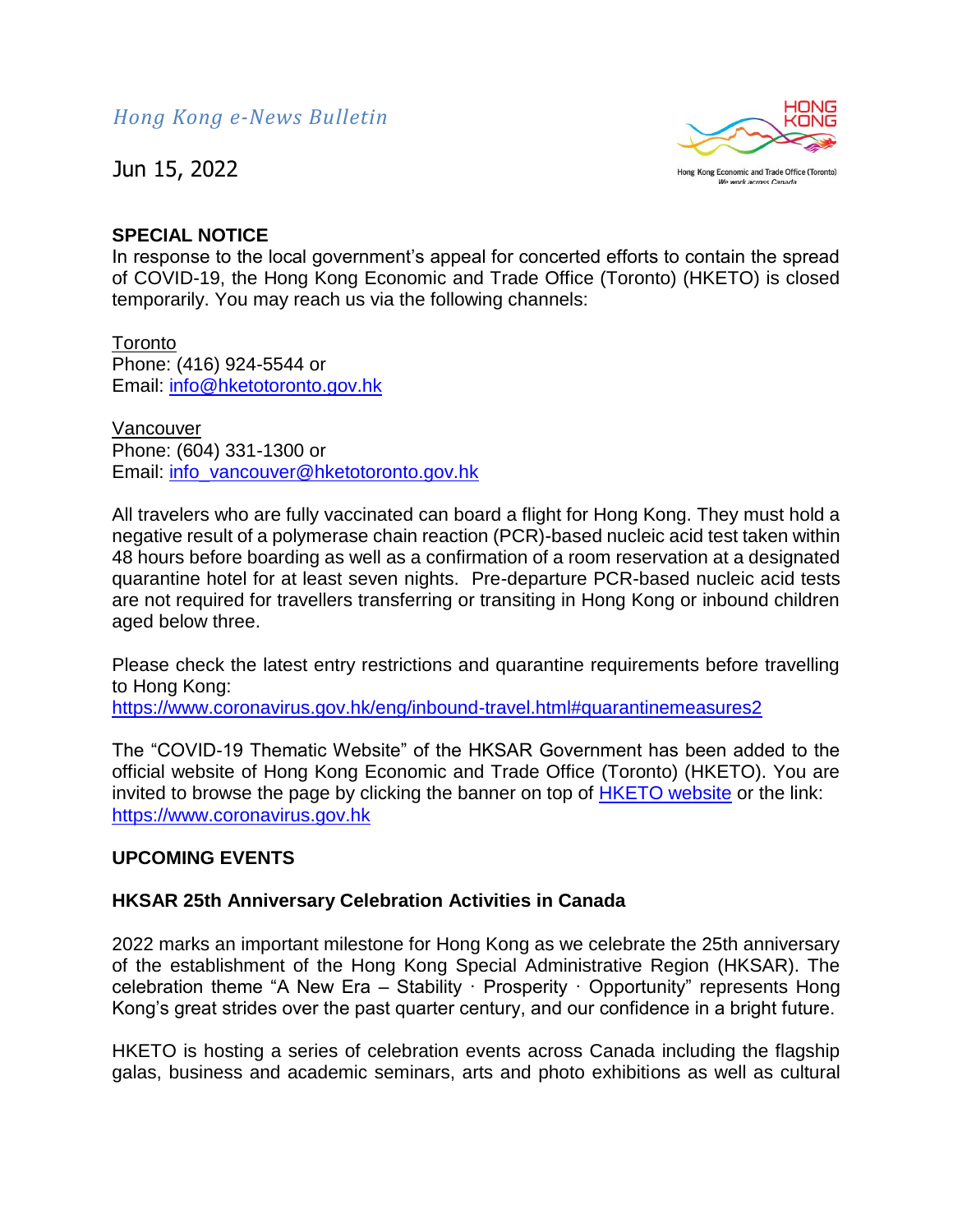

### **SPECIAL NOTICE**

In response to the local government's appeal for concerted efforts to contain the spread of COVID-19, the Hong Kong Economic and Trade Office (Toronto) (HKETO) is closed temporarily. You may reach us via the following channels:

**Toronto** Phone: (416) 924-5544 or Email: [info@hketotoronto.gov.hk](mailto:info@hketotoronto.gov.hk)

Vancouver Phone: (604) 331-1300 or Email: [info\\_vancouver@hketotoronto.gov.hk](mailto:info_vancouver@hketotoronto.gov.hk)

All travelers who are fully vaccinated can board a flight for Hong Kong. They must hold a negative result of a polymerase chain reaction (PCR)-based nucleic acid test taken within 48 hours before boarding as well as a confirmation of a room reservation at a designated quarantine hotel for at least seven nights. Pre-departure PCR-based nucleic acid tests are not required for travellers transferring or transiting in Hong Kong or inbound children aged below three.

Please check the latest entry restrictions and quarantine requirements before travelling to Hong Kong:

<https://www.coronavirus.gov.hk/eng/inbound-travel.html#quarantinemeasures2>

The "COVID-19 Thematic Website" of the HKSAR Government has been added to the official website of Hong Kong Economic and Trade Office (Toronto) (HKETO). You are invited to browse the page by clicking the banner on top of [HKETO website](https://www.hketotoronto.gov.hk/) or the link: [https://www.coronavirus.gov.hk](https://www.coronavirus.gov.hk/)

# **UPCOMING EVENTS**

# **HKSAR 25th Anniversary Celebration Activities in Canada**

2022 marks an important milestone for Hong Kong as we celebrate the 25th anniversary of the establishment of the Hong Kong Special Administrative Region (HKSAR). The celebration theme "A New Era – Stability · Prosperity · Opportunity" represents Hong Kong's great strides over the past quarter century, and our confidence in a bright future.

HKETO is hosting a series of celebration events across Canada including the flagship galas, business and academic seminars, arts and photo exhibitions as well as cultural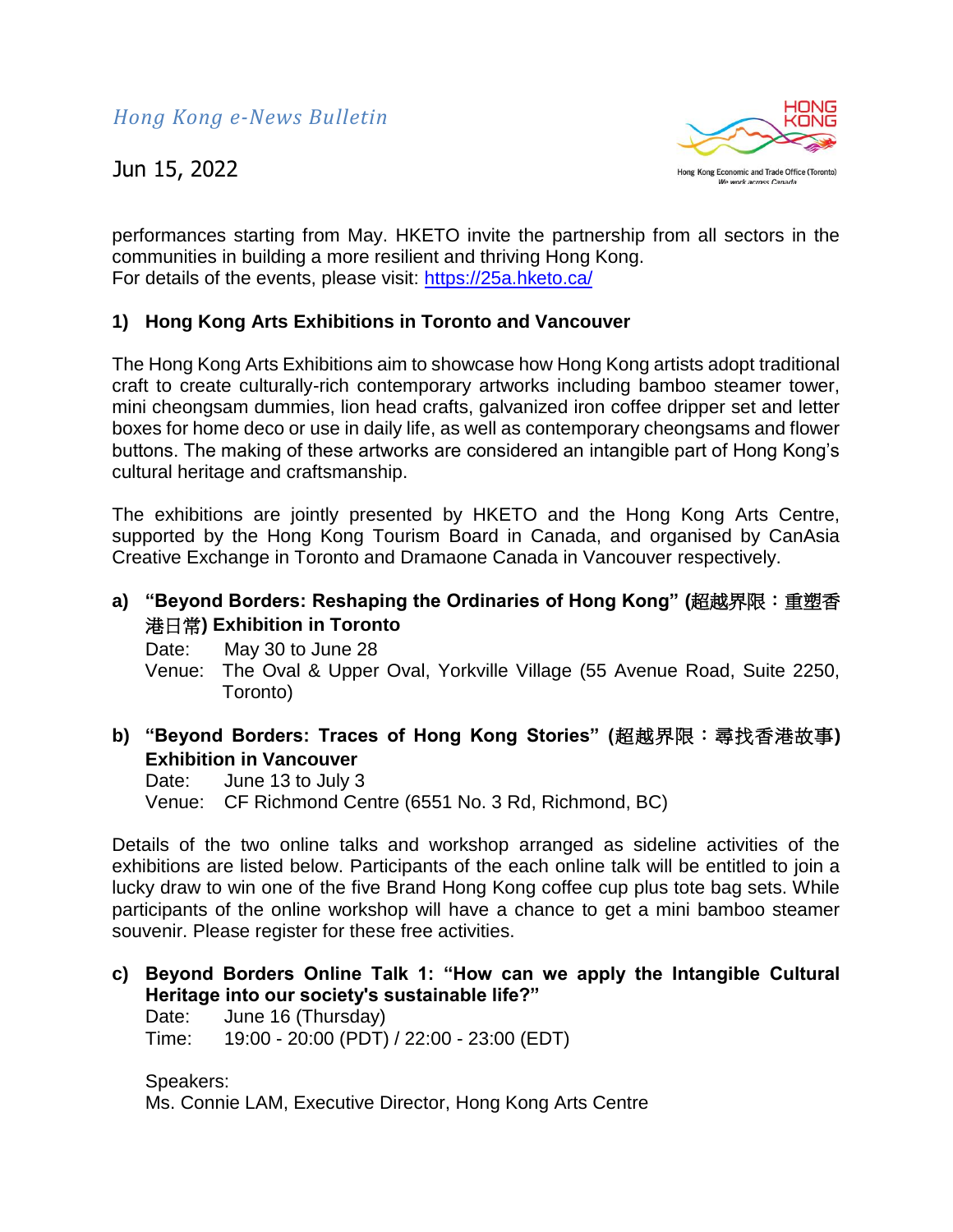

performances starting from May. HKETO invite the partnership from all sectors in the communities in building a more resilient and thriving Hong Kong. For details of the events, please visit:<https://25a.hketo.ca/>

### **1) Hong Kong Arts Exhibitions in Toronto and Vancouver**

The Hong Kong Arts Exhibitions aim to showcase how Hong Kong artists adopt traditional craft to create culturally-rich contemporary artworks including bamboo steamer tower, mini cheongsam dummies, lion head crafts, galvanized iron coffee dripper set and letter boxes for home deco or use in daily life, as well as contemporary cheongsams and flower buttons. The making of these artworks are considered an intangible part of Hong Kong's cultural heritage and craftsmanship.

The exhibitions are jointly presented by HKETO and the Hong Kong Arts Centre, supported by the Hong Kong Tourism Board in Canada, and organised by CanAsia Creative Exchange in Toronto and Dramaone Canada in Vancouver respectively.

**a) "Beyond Borders: Reshaping the Ordinaries of Hong Kong" (**超越界限:重塑香 港日常**) Exhibition in Toronto**

Date: May 30 to June 28

Venue: The Oval & Upper Oval, Yorkville Village (55 Avenue Road, Suite 2250, Toronto)

**b) "Beyond Borders: Traces of Hong Kong Stories" (**超越界限:尋找香港故事**) Exhibition in Vancouver**

Date: June 13 to July 3 Venue: CF Richmond Centre (6551 No. 3 Rd, Richmond, BC)

Details of the two online talks and workshop arranged as sideline activities of the exhibitions are listed below. Participants of the each online talk will be entitled to join a lucky draw to win one of the five Brand Hong Kong coffee cup plus tote bag sets. While participants of the online workshop will have a chance to get a mini bamboo steamer souvenir. Please register for these free activities.

**c) Beyond Borders Online Talk 1: "How can we apply the Intangible Cultural Heritage into our society's sustainable life?"** Date: June 16 (Thursday) Time: 19:00 - 20:00 (PDT) / 22:00 - 23:00 (EDT)

Speakers: Ms. Connie LAM, Executive Director, Hong Kong Arts Centre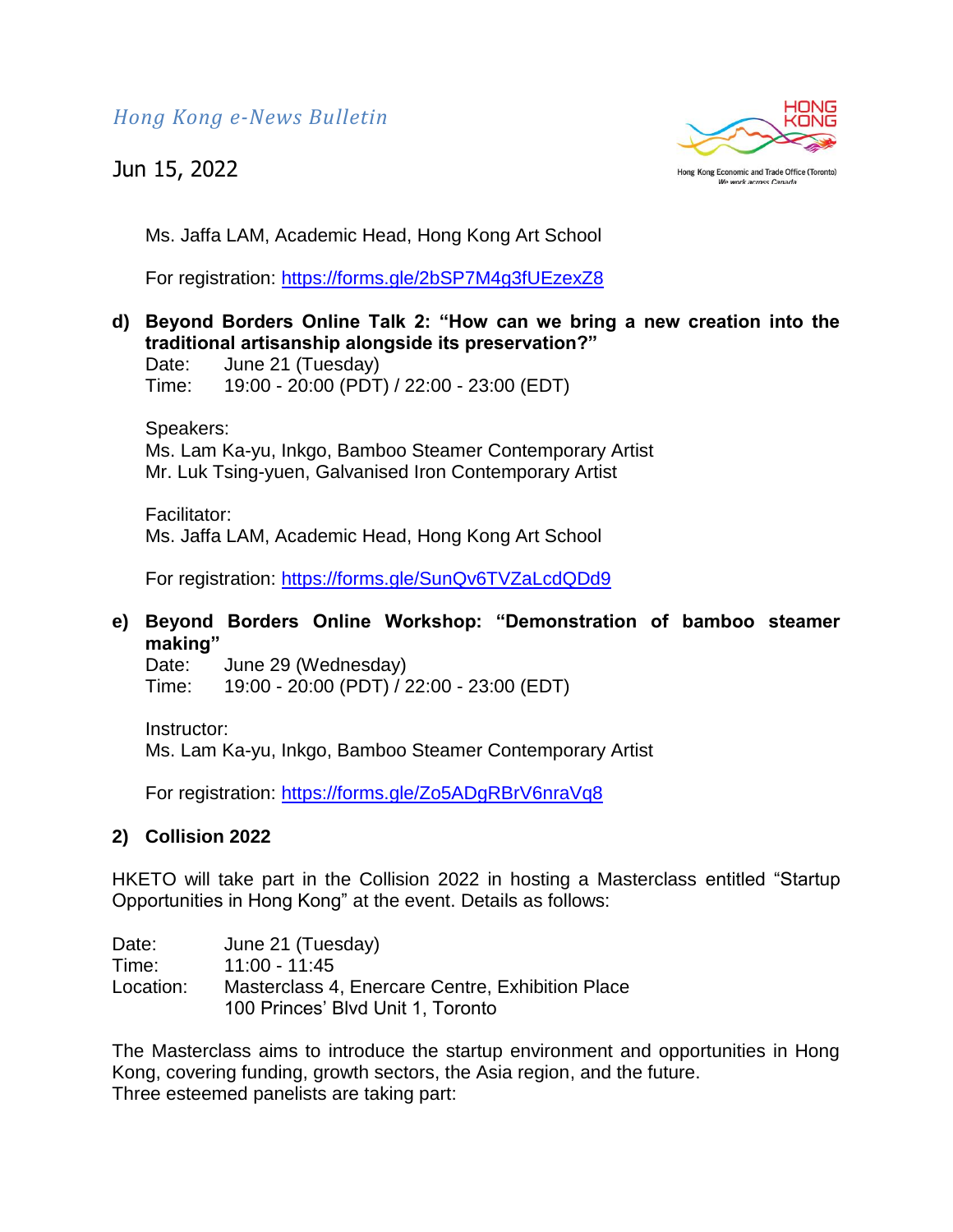*Hong Kong e-News Bulletin*

# Jun 15, 2022



Ms. Jaffa LAM, Academic Head, Hong Kong Art School

For registration:<https://forms.gle/2bSP7M4g3fUEzexZ8>

**d) Beyond Borders Online Talk 2: "How can we bring a new creation into the traditional artisanship alongside its preservation?"** 

Date: June 21 (Tuesday) Time: 19:00 - 20:00 (PDT) / 22:00 - 23:00 (EDT)

Speakers: Ms. Lam Ka-yu, Inkgo, Bamboo Steamer Contemporary Artist Mr. Luk Tsing-yuen, Galvanised Iron Contemporary Artist

Facilitator: Ms. Jaffa LAM, Academic Head, Hong Kong Art School

For registration:<https://forms.gle/SunQv6TVZaLcdQDd9>

# **e) Beyond Borders Online Workshop: "Demonstration of bamboo steamer making"**

Date: June 29 (Wednesday) Time: 19:00 - 20:00 (PDT) / 22:00 - 23:00 (EDT)

Instructor:

Ms. Lam Ka-yu, Inkgo, Bamboo Steamer Contemporary Artist

For registration:<https://forms.gle/Zo5ADgRBrV6nraVq8>

# **2) Collision 2022**

HKETO will take part in the Collision 2022 in hosting a Masterclass entitled "Startup Opportunities in Hong Kong" at the event. Details as follows:

Date: June 21 (Tuesday) Time: 11:00 - 11:45 Location: Masterclass 4, Enercare Centre, Exhibition Place 100 Princes' Blvd Unit 1, Toronto

The Masterclass aims to introduce the startup environment and opportunities in Hong Kong, covering funding, growth sectors, the Asia region, and the future. Three esteemed panelists are taking part: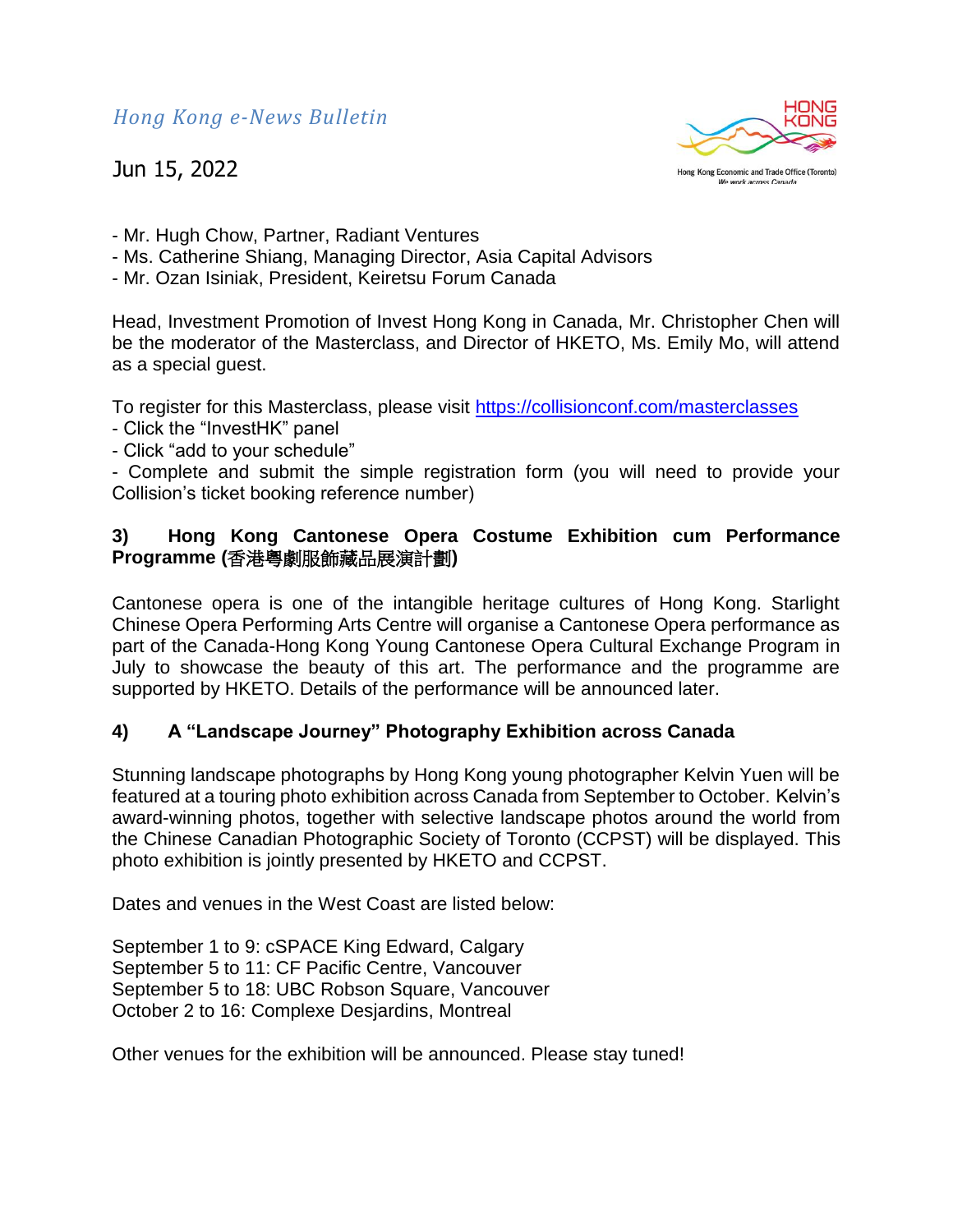*Hong Kong e-News Bulletin*

Jun 15, 2022



- Mr. Hugh Chow, Partner, Radiant Ventures
- Ms. Catherine Shiang, Managing Director, Asia Capital Advisors
- Mr. Ozan Isiniak, President, Keiretsu Forum Canada

Head, Investment Promotion of Invest Hong Kong in Canada, Mr. Christopher Chen will be the moderator of the Masterclass, and Director of HKETO, Ms. Emily Mo, will attend as a special guest.

To register for this Masterclass, please visit<https://collisionconf.com/masterclasses>

- Click the "InvestHK" panel
- Click "add to your schedule"

- Complete and submit the simple registration form (you will need to provide your Collision's ticket booking reference number)

# **3) Hong Kong Cantonese Opera Costume Exhibition cum Performance Programme (**香港粵劇服飾藏品展演計劃**)**

Cantonese opera is one of the intangible heritage cultures of Hong Kong. Starlight Chinese Opera Performing Arts Centre will organise a Cantonese Opera performance as part of the Canada-Hong Kong Young Cantonese Opera Cultural Exchange Program in July to showcase the beauty of this art. The performance and the programme are supported by HKETO. Details of the performance will be announced later.

# **4) A "Landscape Journey" Photography Exhibition across Canada**

Stunning landscape photographs by Hong Kong young photographer Kelvin Yuen will be featured at a touring photo exhibition across Canada from September to October. Kelvin's award-winning photos, together with selective landscape photos around the world from the Chinese Canadian Photographic Society of Toronto (CCPST) will be displayed. This photo exhibition is jointly presented by HKETO and CCPST.

Dates and venues in the West Coast are listed below:

September 1 to 9: cSPACE King Edward, Calgary September 5 to 11: CF Pacific Centre, Vancouver September 5 to 18: UBC Robson Square, Vancouver October 2 to 16: Complexe Desjardins, Montreal

Other venues for the exhibition will be announced. Please stay tuned!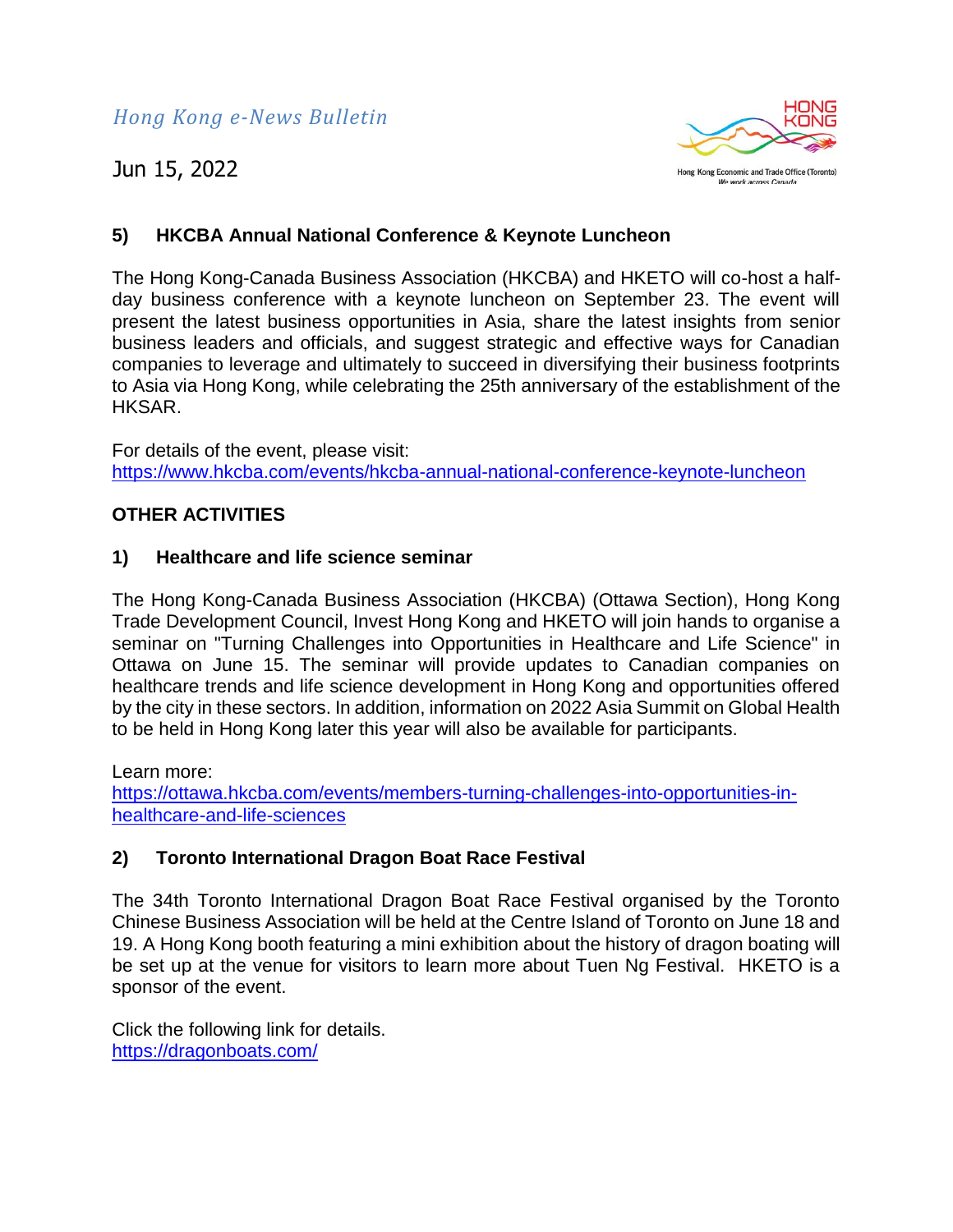

# **5) HKCBA Annual National Conference & Keynote Luncheon**

The Hong Kong-Canada Business Association (HKCBA) and HKETO will co-host a halfday business conference with a keynote luncheon on September 23. The event will present the latest business opportunities in Asia, share the latest insights from senior business leaders and officials, and suggest strategic and effective ways for Canadian companies to leverage and ultimately to succeed in diversifying their business footprints to Asia via Hong Kong, while celebrating the 25th anniversary of the establishment of the HKSAR.

For details of the event, please visit: <https://www.hkcba.com/events/hkcba-annual-national-conference-keynote-luncheon>

### **OTHER ACTIVITIES**

### **1) Healthcare and life science seminar**

The Hong Kong-Canada Business Association (HKCBA) (Ottawa Section), Hong Kong Trade Development Council, Invest Hong Kong and HKETO will join hands to organise a seminar on "Turning Challenges into Opportunities in Healthcare and Life Science" in Ottawa on June 15. The seminar will provide updates to Canadian companies on healthcare trends and life science development in Hong Kong and opportunities offered by the city in these sectors. In addition, information on 2022 Asia Summit on Global Health to be held in Hong Kong later this year will also be available for participants.

Learn more:

[https://ottawa.hkcba.com/events/members-turning-challenges-into-opportunities-in](https://ottawa.hkcba.com/events/members-turning-challenges-into-opportunities-in-healthcare-and-life-sciences)[healthcare-and-life-sciences](https://ottawa.hkcba.com/events/members-turning-challenges-into-opportunities-in-healthcare-and-life-sciences)

# **2) Toronto International Dragon Boat Race Festival**

The 34th Toronto International Dragon Boat Race Festival organised by the Toronto Chinese Business Association will be held at the Centre Island of Toronto on June 18 and 19. A Hong Kong booth featuring a mini exhibition about the history of dragon boating will be set up at the venue for visitors to learn more about Tuen Ng Festival. HKETO is a sponsor of the event.

Click the following link for details. <https://dragonboats.com/>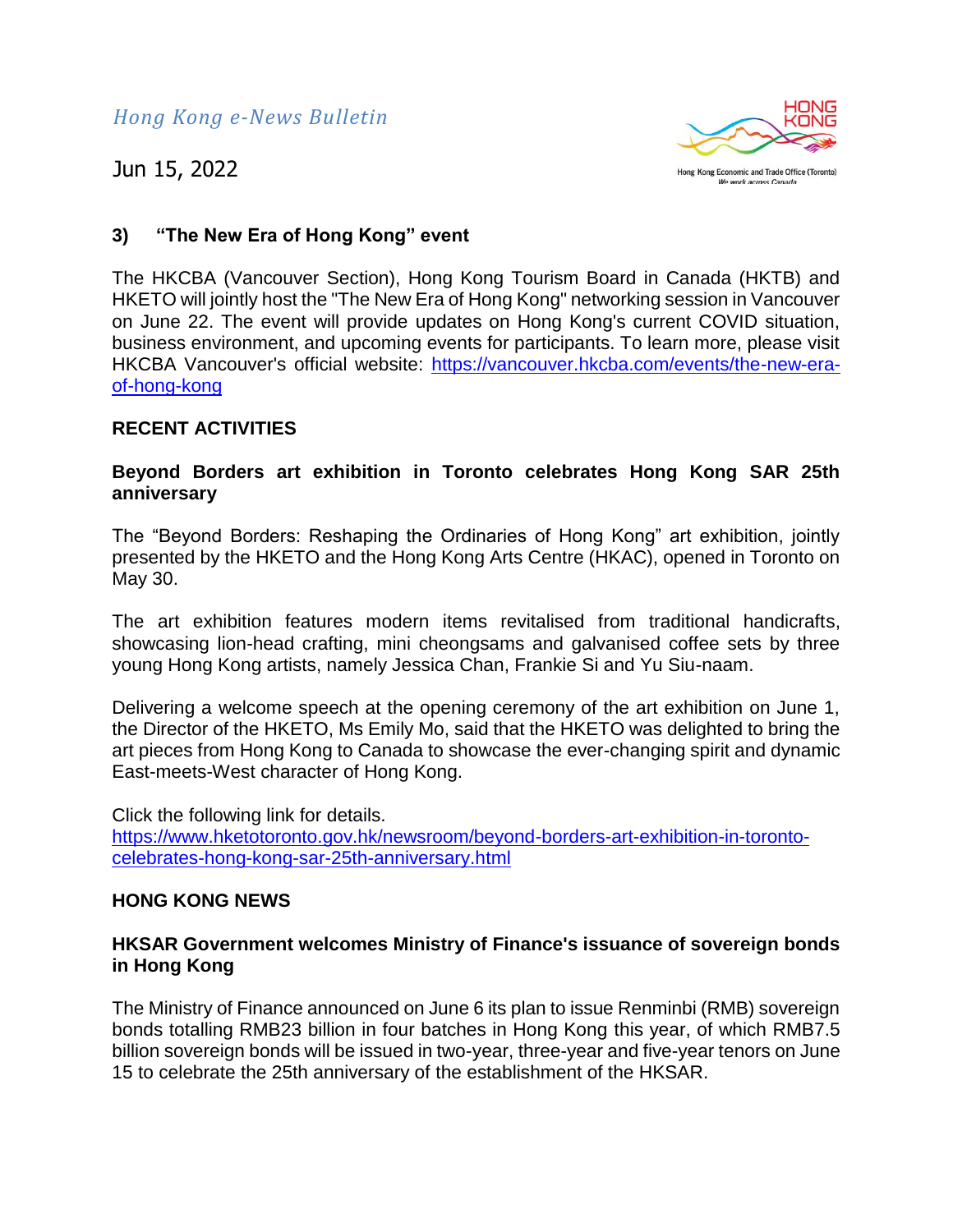*Hong Kong e-News Bulletin*

Jun 15, 2022



# **3) "The New Era of Hong Kong" event**

The HKCBA (Vancouver Section), Hong Kong Tourism Board in Canada (HKTB) and HKETO will jointly host the "The New Era of Hong Kong" networking session in Vancouver on June 22. The event will provide updates on Hong Kong's current COVID situation, business environment, and upcoming events for participants. To learn more, please visit HKCBA Vancouver's official website: [https://vancouver.hkcba.com/events/the-new-era](https://vancouver.hkcba.com/events/the-new-era-of-hong-kong)[of-hong-kong](https://vancouver.hkcba.com/events/the-new-era-of-hong-kong)

#### **RECENT ACTIVITIES**

#### **Beyond Borders art exhibition in Toronto celebrates Hong Kong SAR 25th anniversary**

The "Beyond Borders: Reshaping the Ordinaries of Hong Kong" art exhibition, jointly presented by the HKETO and the Hong Kong Arts Centre (HKAC), opened in Toronto on May 30.

The art exhibition features modern items revitalised from traditional handicrafts, showcasing lion-head crafting, mini cheongsams and galvanised coffee sets by three young Hong Kong artists, namely Jessica Chan, Frankie Si and Yu Siu-naam.

Delivering a welcome speech at the opening ceremony of the art exhibition on June 1, the Director of the HKETO, Ms Emily Mo, said that the HKETO was delighted to bring the art pieces from Hong Kong to Canada to showcase the ever-changing spirit and dynamic East-meets-West character of Hong Kong.

Click the following link for details. [https://www.hketotoronto.gov.hk/newsroom/beyond-borders-art-exhibition-in-toronto](https://www.hketotoronto.gov.hk/newsroom/beyond-borders-art-exhibition-in-toronto-celebrates-hong-kong-sar-25th-anniversary.html)[celebrates-hong-kong-sar-25th-anniversary.html](https://www.hketotoronto.gov.hk/newsroom/beyond-borders-art-exhibition-in-toronto-celebrates-hong-kong-sar-25th-anniversary.html)

#### **HONG KONG NEWS**

#### **HKSAR Government welcomes Ministry of Finance's issuance of sovereign bonds in Hong Kong**

The Ministry of Finance announced on June 6 its plan to issue Renminbi (RMB) sovereign bonds totalling RMB23 billion in four batches in Hong Kong this year, of which RMB7.5 billion sovereign bonds will be issued in two-year, three-year and five-year tenors on June 15 to celebrate the 25th anniversary of the establishment of the HKSAR.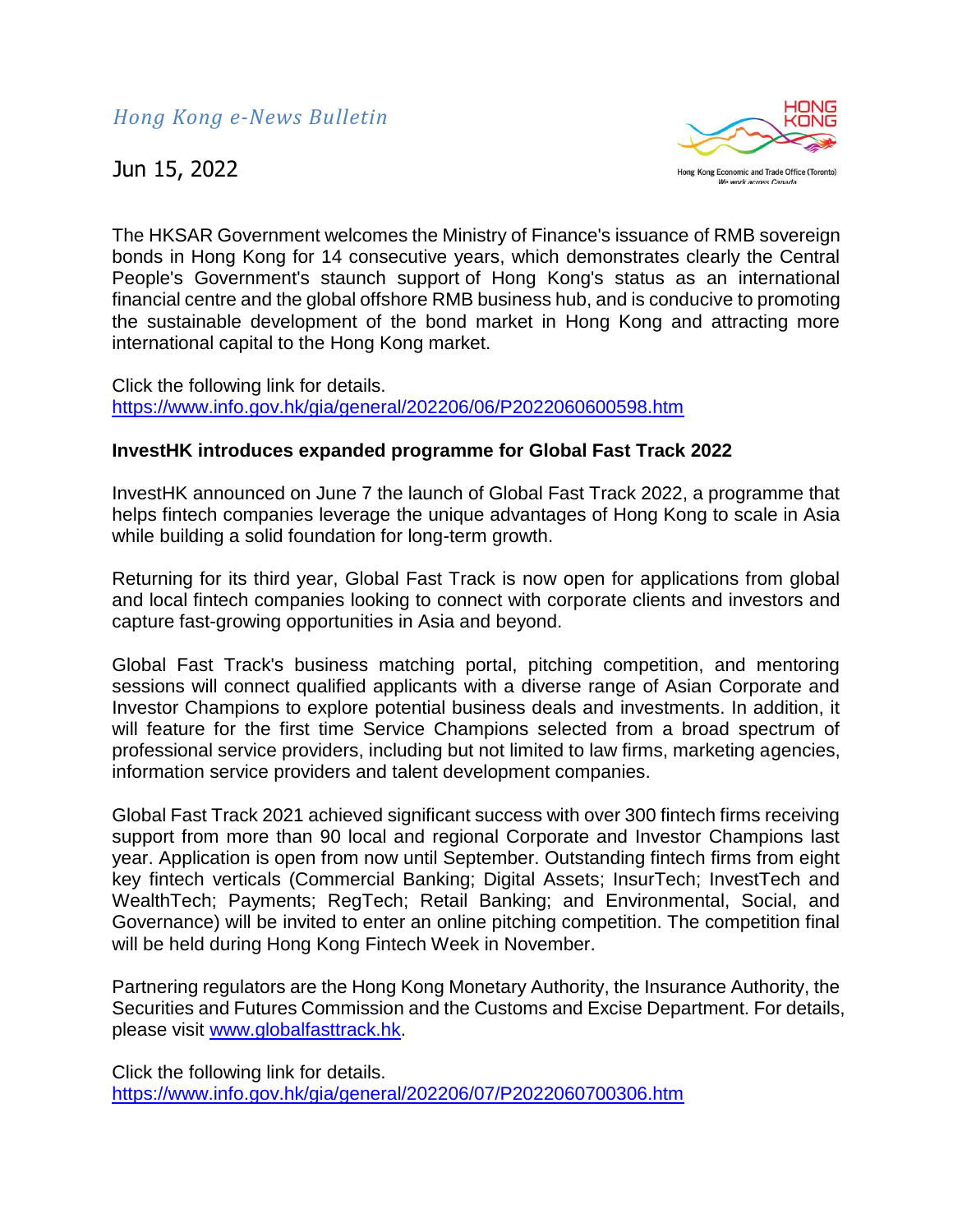

The HKSAR Government welcomes the Ministry of Finance's issuance of RMB sovereign bonds in Hong Kong for 14 consecutive years, which demonstrates clearly the Central People's Government's staunch support of Hong Kong's status as an international financial centre and the global offshore RMB business hub, and is conducive to promoting the sustainable development of the bond market in Hong Kong and attracting more international capital to the Hong Kong market.

Click the following link for details. <https://www.info.gov.hk/gia/general/202206/06/P2022060600598.htm>

### **InvestHK introduces expanded programme for Global Fast Track 2022**

InvestHK announced on June 7 the launch of Global Fast Track 2022, a programme that helps fintech companies leverage the unique advantages of Hong Kong to scale in Asia while building a solid foundation for long-term growth.

Returning for its third year, Global Fast Track is now open for applications from global and local fintech companies looking to connect with corporate clients and investors and capture fast-growing opportunities in Asia and beyond.

Global Fast Track's business matching portal, pitching competition, and mentoring sessions will connect qualified applicants with a diverse range of Asian Corporate and Investor Champions to explore potential business deals and investments. In addition, it will feature for the first time Service Champions selected from a broad spectrum of professional service providers, including but not limited to law firms, marketing agencies, information service providers and talent development companies.

Global Fast Track 2021 achieved significant success with over 300 fintech firms receiving support from more than 90 local and regional Corporate and Investor Champions last year. Application is open from now until September. Outstanding fintech firms from eight key fintech verticals (Commercial Banking; Digital Assets; InsurTech; InvestTech and WealthTech; Payments; RegTech; Retail Banking; and Environmental, Social, and Governance) will be invited to enter an online pitching competition. The competition final will be held during Hong Kong Fintech Week in November.

Partnering regulators are the Hong Kong Monetary Authority, the Insurance Authority, the Securities and Futures Commission and the Customs and Excise Department. For details, please visit [www.globalfasttrack.hk.](https://www.globalfasttrack.hk/)

Click the following link for details. <https://www.info.gov.hk/gia/general/202206/07/P2022060700306.htm>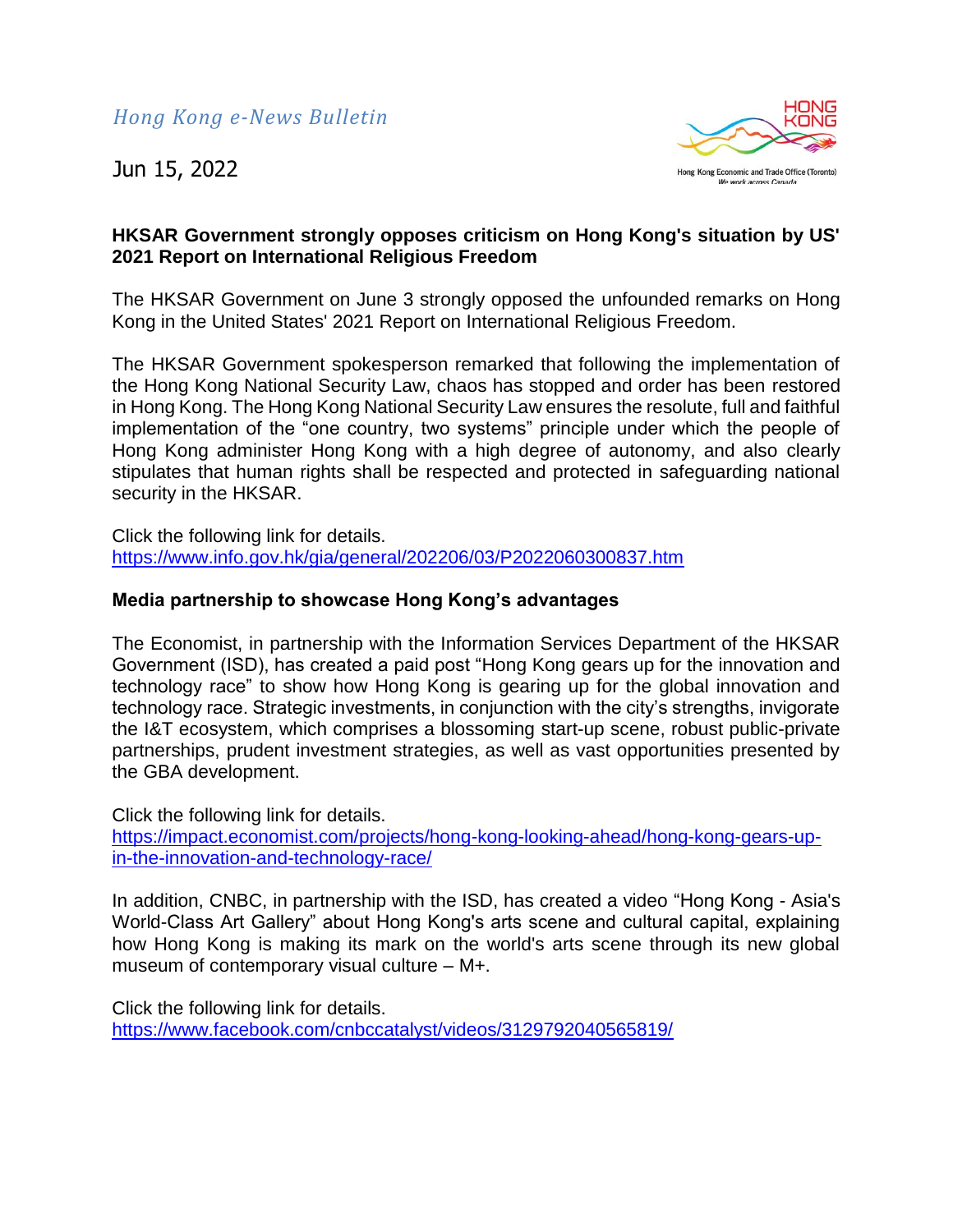

### **HKSAR Government strongly opposes criticism on Hong Kong's situation by US' 2021 Report on International Religious Freedom**

The HKSAR Government on June 3 strongly opposed the unfounded remarks on Hong Kong in the United States' 2021 Report on International Religious Freedom.

The HKSAR Government spokesperson remarked that following the implementation of the Hong Kong National Security Law, chaos has stopped and order has been restored in Hong Kong. The Hong Kong National Security Law ensures the resolute, full and faithful implementation of the "one country, two systems" principle under which the people of Hong Kong administer Hong Kong with a high degree of autonomy, and also clearly stipulates that human rights shall be respected and protected in safeguarding national security in the HKSAR.

Click the following link for details. <https://www.info.gov.hk/gia/general/202206/03/P2022060300837.htm>

### **Media partnership to showcase Hong Kong's advantages**

The Economist, in partnership with the Information Services Department of the HKSAR Government (ISD), has created a paid post "Hong Kong gears up for the innovation and technology race" to show how Hong Kong is gearing up for the global innovation and technology race. Strategic investments, in conjunction with the city's strengths, invigorate the I&T ecosystem, which comprises a blossoming start-up scene, robust public-private partnerships, prudent investment strategies, as well as vast opportunities presented by the GBA development.

Click the following link for details. [https://impact.economist.com/projects/hong-kong-looking-ahead/hong-kong-gears-up](https://impact.economist.com/projects/hong-kong-looking-ahead/hong-kong-gears-up-in-the-innovation-and-technology-race/)[in-the-innovation-and-technology-race/](https://impact.economist.com/projects/hong-kong-looking-ahead/hong-kong-gears-up-in-the-innovation-and-technology-race/)

In addition, CNBC, in partnership with the ISD, has created a video "Hong Kong - Asia's World-Class Art Gallery" about Hong Kong's arts scene and cultural capital, explaining how Hong Kong is making its mark on the world's arts scene through its new global museum of contemporary visual culture – M+.

Click the following link for details. <https://www.facebook.com/cnbccatalyst/videos/3129792040565819/>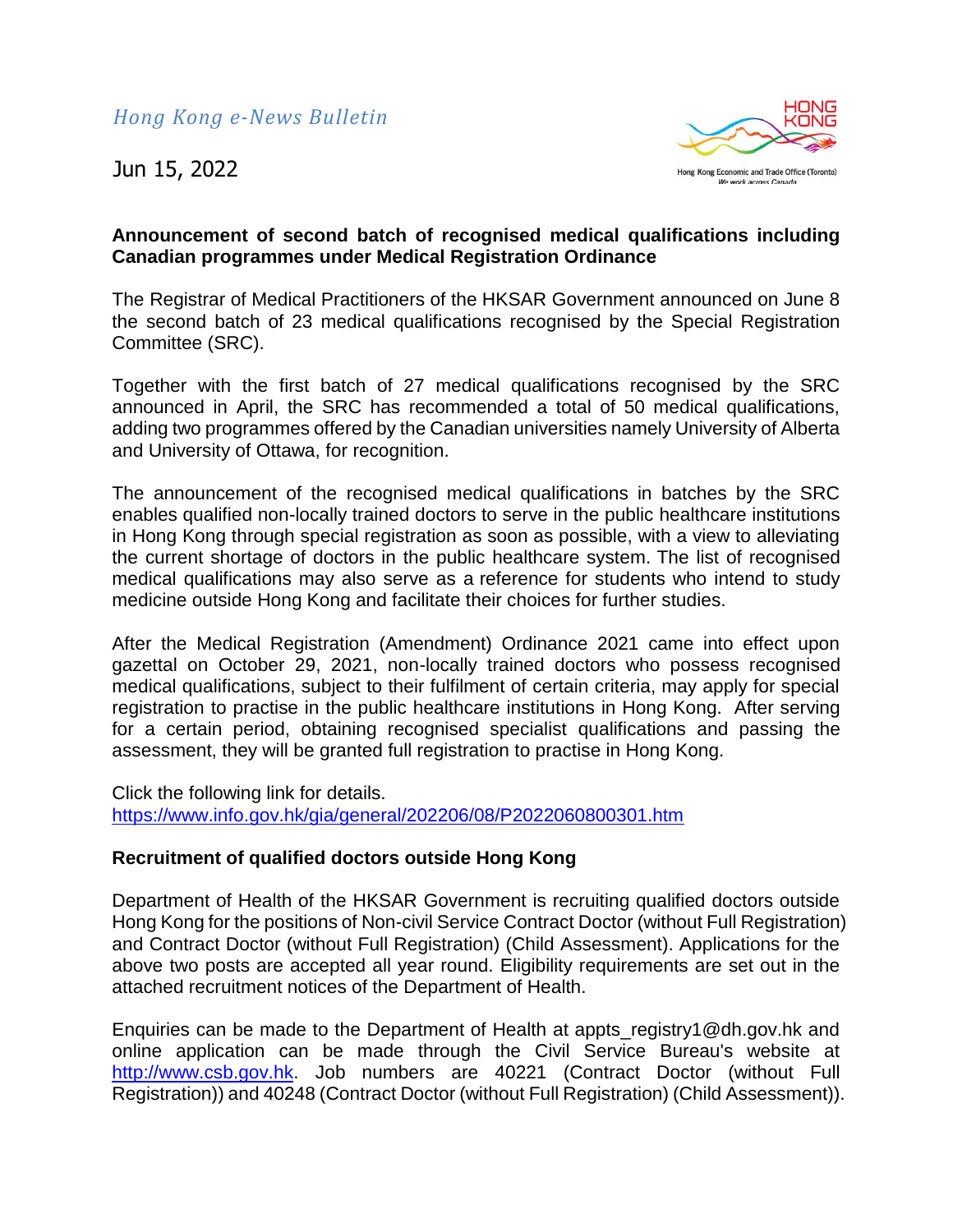

### **Announcement of second batch of recognised medical qualifications including Canadian programmes under Medical Registration Ordinance**

The Registrar of Medical Practitioners of the HKSAR Government announced on June 8 the second batch of 23 medical qualifications recognised by the Special Registration Committee (SRC).

Together with the first batch of 27 medical qualifications recognised by the SRC announced in April, the SRC has recommended a total of 50 medical qualifications, adding two programmes offered by the Canadian universities namely University of Alberta and University of Ottawa, for recognition.

The announcement of the recognised medical qualifications in batches by the SRC enables qualified non-locally trained doctors to serve in the public healthcare institutions in Hong Kong through special registration as soon as possible, with a view to alleviating the current shortage of doctors in the public healthcare system. The list of recognised medical qualifications may also serve as a reference for students who intend to study medicine outside Hong Kong and facilitate their choices for further studies.

After the Medical Registration (Amendment) Ordinance 2021 came into effect upon gazettal on October 29, 2021, non-locally trained doctors who possess recognised medical qualifications, subject to their fulfilment of certain criteria, may apply for special registration to practise in the public healthcare institutions in Hong Kong. After serving for a certain period, obtaining recognised specialist qualifications and passing the assessment, they will be granted full registration to practise in Hong Kong.

Click the following link for details. <https://www.info.gov.hk/gia/general/202206/08/P2022060800301.htm>

#### **Recruitment of qualified doctors outside Hong Kong**

Department of Health of the HKSAR Government is recruiting qualified doctors outside Hong Kong for the positions of Non-civil Service Contract Doctor (without Full Registration) and Contract Doctor (without Full Registration) (Child Assessment). Applications for the above two posts are accepted all year round. Eligibility requirements are set out in the attached recruitment notices of the Department of Health.

Enquiries can be made to the Department of Health at appts\_registry1@dh.gov.hk and online application can be made through the Civil Service Bureau's website at [http://www.csb.gov.hk.](http://www.csb.gov.hk/) Job numbers are 40221 (Contract Doctor (without Full Registration)) and 40248 (Contract Doctor (without Full Registration) (Child Assessment)).